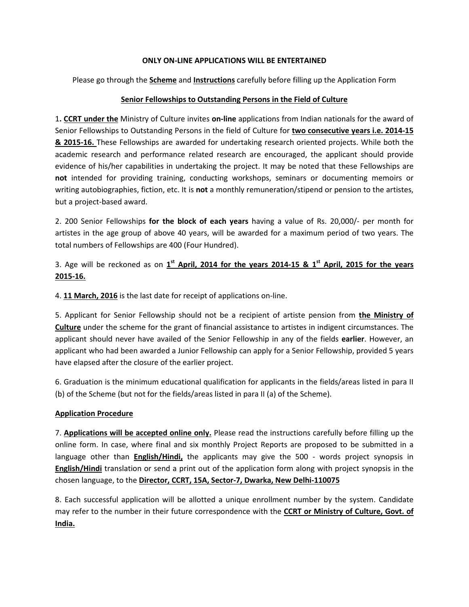#### ONLY ON-LINE APPLICATIONS WILL BE ENTERTAINED

Please go through the **Scheme** and **Instructions** carefully before filling up the Application Form

#### Senior Fellowships to Outstanding Persons in the Field of Culture

1. CCRT under the Ministry of Culture invites on-line applications from Indian nationals for the award of Senior Fellowships to Outstanding Persons in the field of Culture for two consecutive years i.e. 2014-15 8. 2015-16. These Fellowships are awarded for undertaking research oriented projects. While both the academic research and performance related research are encouraged, the applicant should provide evidence of his/her capabilities in undertaking the project. It may be noted that these Fellowships are not intended for providing training, conducting workshops, seminars or documenting memoirs or writing autobiographies, fiction, etc. It is not a monthly remuneration/stipend or pension to the artistes, but a project-based award.

2. 200 Senior Fellowships for the block of each years having a value of Rs. 20,000/- per month for artistes in the age group of above 40 years, will be awarded for a maximum period of two years. The total numbers of Fellowships are 400 (Four Hundred).

3. Age will be reckoned as on  $1^{st}$  April, 2014 for the years 2014-15 &  $1^{st}$  April, 2015 for the years 2015-16.

4. 11 March, 2016 is the last date for receipt of applications on-line.

5. Applicant for Senior Fellowship should not be a recipient of artiste pension from the Ministry of Culture under the scheme for the grant of financial assistance to artistes in indigent circumstances. The applicant should never have availed of the Senior Fellowship in any of the fields earlier. However, an applicant who had been awarded a Junior Fellowship can apply for a Senior Fellowship, provided 5 years have elapsed after the closure of the earlier project.

6. Graduation is the minimum educational qualification for applicants in the fields/areas listed in para II (b) of the Scheme (but not for the fields/areas listed in para II (a) of the Scheme).

## Application Procedure

7. Applications will be accepted online only. Please read the instructions carefully before filling up the online form. In case, where final and six monthly Project Reports are proposed to be submitted in a language other than **English/Hindi**, the applicants may give the 500 - words project synopsis in English/Hindi translation or send a print out of the application form along with project synopsis in the chosen language, to the Director, CCRT, 15A, Sector-7, Dwarka, New Delhi-110075

8. Each successful application will be allotted a unique enrollment number by the system. Candidate may refer to the number in their future correspondence with the CCRT or Ministry of Culture, Govt. of India.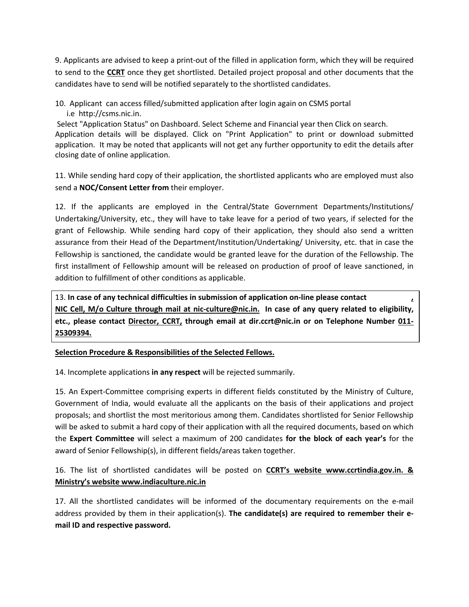9. Applicants are advised to keep a print-out of the filled in application form, which they will be required to send to the CCRT once they get shortlisted. Detailed project proposal and other documents that the candidates have to send will be notified separately to the shortlisted candidates.

10. Applicant can access filled/submitted application after login again on CSMS portal i.e http://csms.nic.in.

 Select "Application Status" on Dashboard. Select Scheme and Financial year then Click on search. Application details will be displayed. Click on "Print Application" to print or download submitted application. It may be noted that applicants will not get any further opportunity to edit the details after closing date of online application.

11. While sending hard copy of their application, the shortlisted applicants who are employed must also send a NOC/Consent Letter from their employer.

12. If the applicants are employed in the Central/State Government Departments/Institutions/ Undertaking/University, etc., they will have to take leave for a period of two years, if selected for the grant of Fellowship. While sending hard copy of their application, they should also send a written assurance from their Head of the Department/Institution/Undertaking/ University, etc. that in case the Fellowship is sanctioned, the candidate would be granted leave for the duration of the Fellowship. The first installment of Fellowship amount will be released on production of proof of leave sanctioned, in addition to fulfillment of other conditions as applicable.

13. In case of any technical difficulties in submission of application on-line please contact  $\mathbf{r}$ NIC Cell, M/o Culture through mail at nic-culture@nic.in. In case of any query related to eligibility, etc., please contact Director, CCRT, through email at dir.ccrt@nic.in or on Telephone Number 011- 25309394.

## Selection Procedure & Responsibilities of the Selected Fellows.

14. Incomplete applications in any respect will be rejected summarily.

15. An Expert-Committee comprising experts in different fields constituted by the Ministry of Culture, Government of India, would evaluate all the applicants on the basis of their applications and project proposals; and shortlist the most meritorious among them. Candidates shortlisted for Senior Fellowship will be asked to submit a hard copy of their application with all the required documents, based on which the Expert Committee will select a maximum of 200 candidates for the block of each year's for the award of Senior Fellowship(s), in different fields/areas taken together.

16. The list of shortlisted candidates will be posted on **CCRT's website www.ccrtindia.gov.in. &** Ministry's website www.indiaculture.nic.in

17. All the shortlisted candidates will be informed of the documentary requirements on the e-mail address provided by them in their application(s). The candidate(s) are required to remember their email ID and respective password.